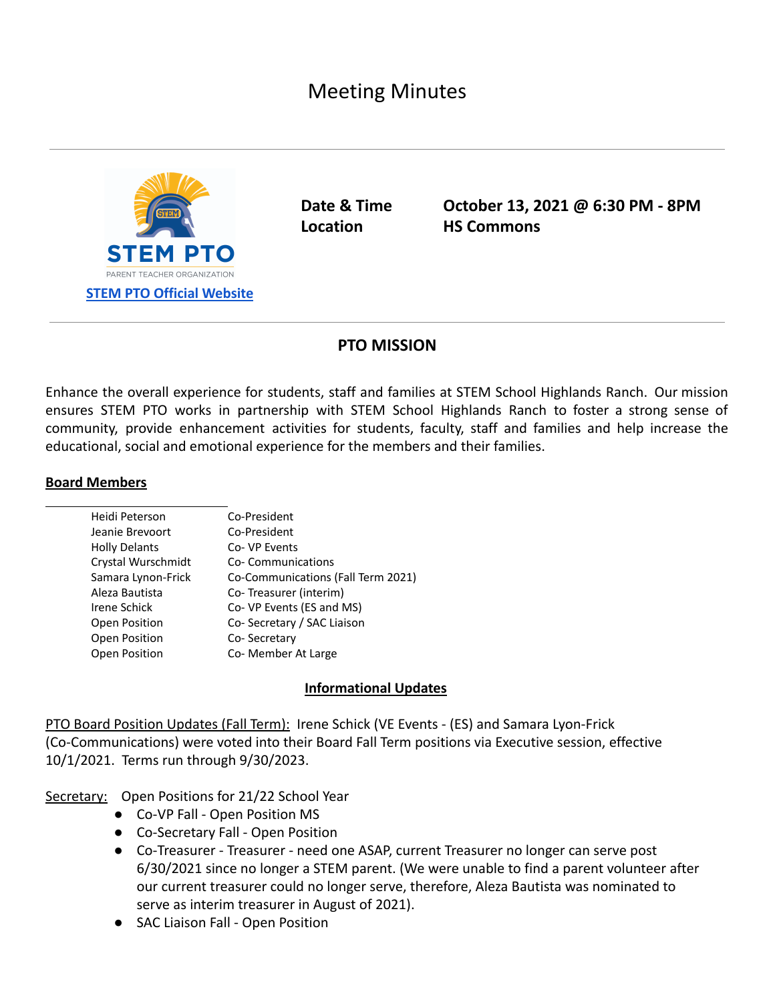# Meeting Minutes



**Date & Time October 13, 2021 @ 6:30 PM - 8PM Location HS Commons**

## **PTO MISSION**

Enhance the overall experience for students, staff and families at STEM School Highlands Ranch. Our mission ensures STEM PTO works in partnership with STEM School Highlands Ranch to foster a strong sense of community, provide enhancement activities for students, faculty, staff and families and help increase the educational, social and emotional experience for the members and their families.

#### **Board Members**

| Heidi Peterson       | Co-President                       |
|----------------------|------------------------------------|
| Jeanie Brevoort      | Co-President                       |
| <b>Holly Delants</b> | Co-VP Events                       |
| Crystal Wurschmidt   | Co-Communications                  |
| Samara Lynon-Frick   | Co-Communications (Fall Term 2021) |
| Aleza Bautista       | Co-Treasurer (interim)             |
| Irene Schick         | Co- VP Events (ES and MS)          |
| Open Position        | Co-Secretary / SAC Liaison         |
| Open Position        | Co-Secretary                       |
| Open Position        | Co- Member At Large                |
|                      |                                    |

### **Informational Updates**

PTO Board Position Updates (Fall Term): Irene Schick (VE Events - (ES) and Samara Lyon-Frick (Co-Communications) were voted into their Board Fall Term positions via Executive session, effective 10/1/2021. Terms run through 9/30/2023.

Secretary: Open Positions for 21/22 School Year

- Co-VP Fall Open Position MS
- Co-Secretary Fall Open Position
- **●** Co-Treasurer Treasurer need one ASAP, current Treasurer no longer can serve post 6/30/2021 since no longer a STEM parent. (We were unable to find a parent volunteer after our current treasurer could no longer serve, therefore, Aleza Bautista was nominated to serve as interim treasurer in August of 2021).
- SAC Liaison Fall Open Position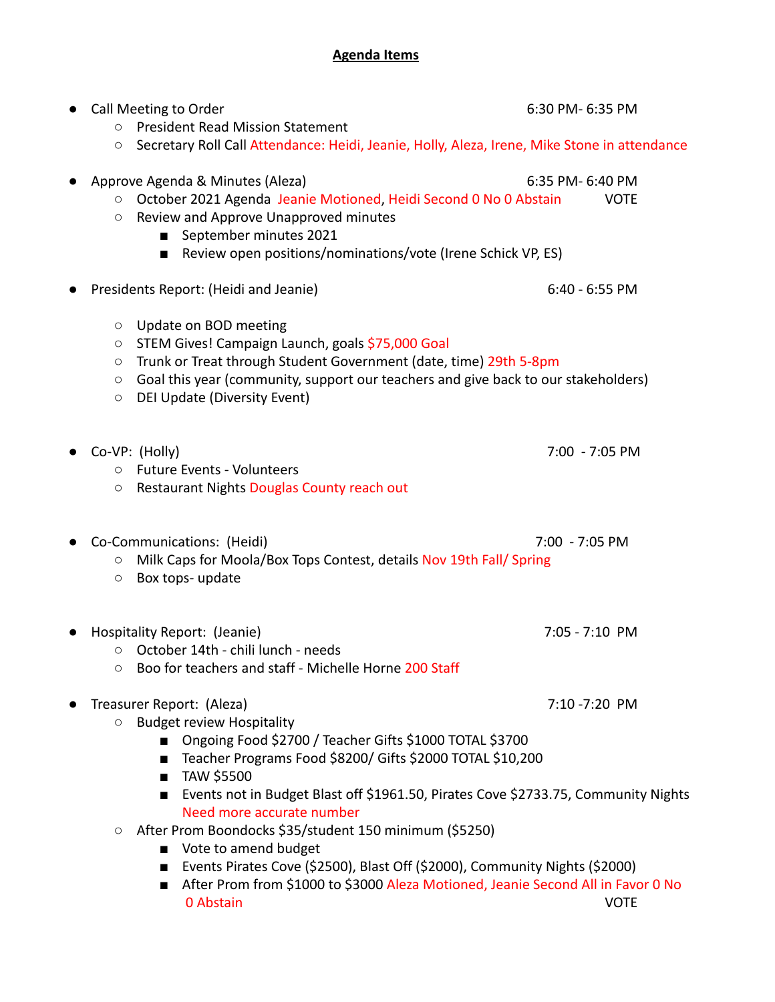# **Agenda Items**

| Call Meeting to Order<br><b>President Read Mission Statement</b><br>$\circ$                                                                                                                                                                                                                                                             | 6:30 PM- 6:35 PM                                                                                     |
|-----------------------------------------------------------------------------------------------------------------------------------------------------------------------------------------------------------------------------------------------------------------------------------------------------------------------------------------|------------------------------------------------------------------------------------------------------|
| Secretary Roll Call Attendance: Heidi, Jeanie, Holly, Aleza, Irene, Mike Stone in attendance<br>O                                                                                                                                                                                                                                       |                                                                                                      |
| Approve Agenda & Minutes (Aleza)<br>October 2021 Agenda Jeanie Motioned, Heidi Second 0 No 0 Abstain<br>$\bigcirc$<br>Review and Approve Unapproved minutes<br>$\circ$<br>September minutes 2021<br>Review open positions/nominations/vote (Irene Schick VP, ES)                                                                        | 6:35 PM- 6:40 PM<br><b>VOTE</b>                                                                      |
| Presidents Report: (Heidi and Jeanie)                                                                                                                                                                                                                                                                                                   | $6:40 - 6:55$ PM                                                                                     |
| Update on BOD meeting<br>$\circ$<br>STEM Gives! Campaign Launch, goals \$75,000 Goal<br>$\circ$<br>Trunk or Treat through Student Government (date, time) 29th 5-8pm<br>$\circ$<br>Goal this year (community, support our teachers and give back to our stakeholders)<br>$\circ$<br>DEI Update (Diversity Event)<br>$\circlearrowright$ |                                                                                                      |
| Co-VP: (Holly)<br><b>Future Events - Volunteers</b><br>$\circ$<br>Restaurant Nights Douglas County reach out<br>O                                                                                                                                                                                                                       | 7:00 - 7:05 PM                                                                                       |
| Co-Communications: (Heidi)<br>Milk Caps for Moola/Box Tops Contest, details Nov 19th Fall/ Spring<br>$\circ$<br>Box tops- update<br>$\bigcirc$                                                                                                                                                                                          | 7:00 - 7:05 PM                                                                                       |
| Hospitality Report: (Jeanie)<br>October 14th - chili lunch - needs<br>O<br>Boo for teachers and staff - Michelle Horne 200 Staff<br>$\circ$                                                                                                                                                                                             | 7:05 - 7:10 PM                                                                                       |
| Treasurer Report: (Aleza)<br><b>Budget review Hospitality</b><br>$\circ$<br>Ongoing Food \$2700 / Teacher Gifts \$1000 TOTAL \$3700<br>Teacher Programs Food \$8200/ Gifts \$2000 TOTAL \$10,200<br>TAW \$5500<br>$\blacksquare$<br>п                                                                                                   | 7:10 - 7:20 PM<br>Events not in Budget Blast off \$1961.50, Pirates Cove \$2733.75, Community Nights |
| Need more accurate number<br>After Prom Boondocks \$35/student 150 minimum (\$5250)<br>$\circ$<br>■ Vote to amend budget<br>Events Pirates Cove (\$2500), Blast Off (\$2000), Community Nights (\$2000)<br>■<br>$\blacksquare$<br>0 Abstain                                                                                             | After Prom from \$1000 to \$3000 Aleza Motioned, Jeanie Second All in Favor 0 No<br><b>VOTE</b>      |